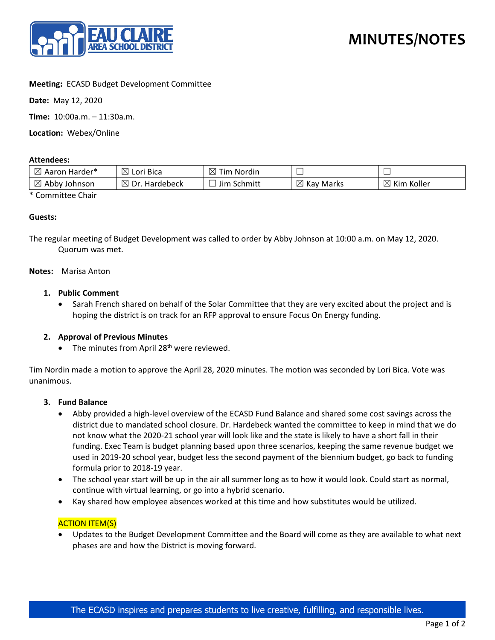

# **Meeting:** ECASD Budget Development Committee

**Date:** May 12, 2020

**Time:** 10:00a.m. – 11:30a.m.

**Location:** Webex/Online

### **Attendees:**

| $\boxtimes$<br>  Aaron Harder*     | $\boxtimes$<br>Lori Bica        | ⊠<br>Tim Nordin   |                          | __                        |
|------------------------------------|---------------------------------|-------------------|--------------------------|---------------------------|
| $\boxtimes$<br>, Abby i<br>Johnson | $\boxtimes$<br>Dr.<br>Hardebeck | ∙ Schmitt<br>Jim. | $\boxtimes$<br>Kay Marks | $\boxtimes$<br>Kim Koller |

\* Committee Chair

### **Guests:**

The regular meeting of Budget Development was called to order by Abby Johnson at 10:00 a.m. on May 12, 2020. Quorum was met.

#### **Notes:** Marisa Anton

### **1. Public Comment**

• Sarah French shared on behalf of the Solar Committee that they are very excited about the project and is hoping the district is on track for an RFP approval to ensure Focus On Energy funding.

## **2. Approval of Previous Minutes**

• The minutes from April 28<sup>th</sup> were reviewed.

Tim Nordin made a motion to approve the April 28, 2020 minutes. The motion was seconded by Lori Bica. Vote was unanimous.

#### **3. Fund Balance**

- Abby provided a high-level overview of the ECASD Fund Balance and shared some cost savings across the district due to mandated school closure. Dr. Hardebeck wanted the committee to keep in mind that we do not know what the 2020-21 school year will look like and the state is likely to have a short fall in their funding. Exec Team is budget planning based upon three scenarios, keeping the same revenue budget we used in 2019-20 school year, budget less the second payment of the biennium budget, go back to funding formula prior to 2018-19 year.
- The school year start will be up in the air all summer long as to how it would look. Could start as normal, continue with virtual learning, or go into a hybrid scenario.
- Kay shared how employee absences worked at this time and how substitutes would be utilized.

#### ACTION ITEM(S)

• Updates to the Budget Development Committee and the Board will come as they are available to what next phases are and how the District is moving forward.